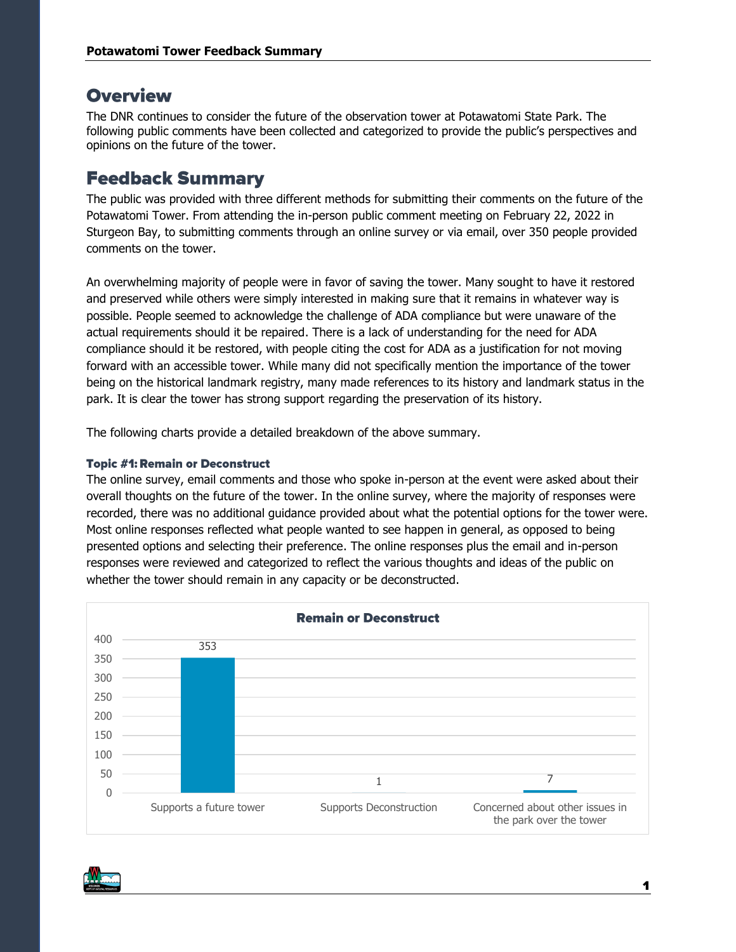# **Overview**

The DNR continues to consider the future of the observation tower at Potawatomi State Park. The following public comments have been collected and categorized to provide the public's perspectives and opinions on the future of the tower.

# **Feedback Summary**

The public was provided with three different methods for submitting their comments on the future of the Potawatomi Tower. From attending the in-person public comment meeting on February 22, 2022 in Sturgeon Bay, to submitting comments through an online survey or via email, over 350 people provided comments on the tower.

An overwhelming majority of people were in favor of saving the tower. Many sought to have it restored and preserved while others were simply interested in making sure that it remains in whatever way is possible. People seemed to acknowledge the challenge of ADA compliance but were unaware of the actual requirements should it be repaired. There is a lack of understanding for the need for ADA compliance should it be restored, with people citing the cost for ADA as a justification for not moving forward with an accessible tower. While many did not specifically mention the importance of the tower being on the historical landmark registry, many made references to its history and landmark status in the park. It is clear the tower has strong support regarding the preservation of its history.

The following charts provide a detailed breakdown of the above summary.

# **Topic #1: Remain or Deconstruct**

The online survey, email comments and those who spoke in-person at the event were asked about their overall thoughts on the future of the tower. In the online survey, where the majority of responses were recorded, there was no additional guidance provided about what the potential options for the tower were. Most online responses reflected what people wanted to see happen in general, as opposed to being presented options and selecting their preference. The online responses plus the email and in-person responses were reviewed and categorized to reflect the various thoughts and ideas of the public on whether the tower should remain in any capacity or be deconstructed.



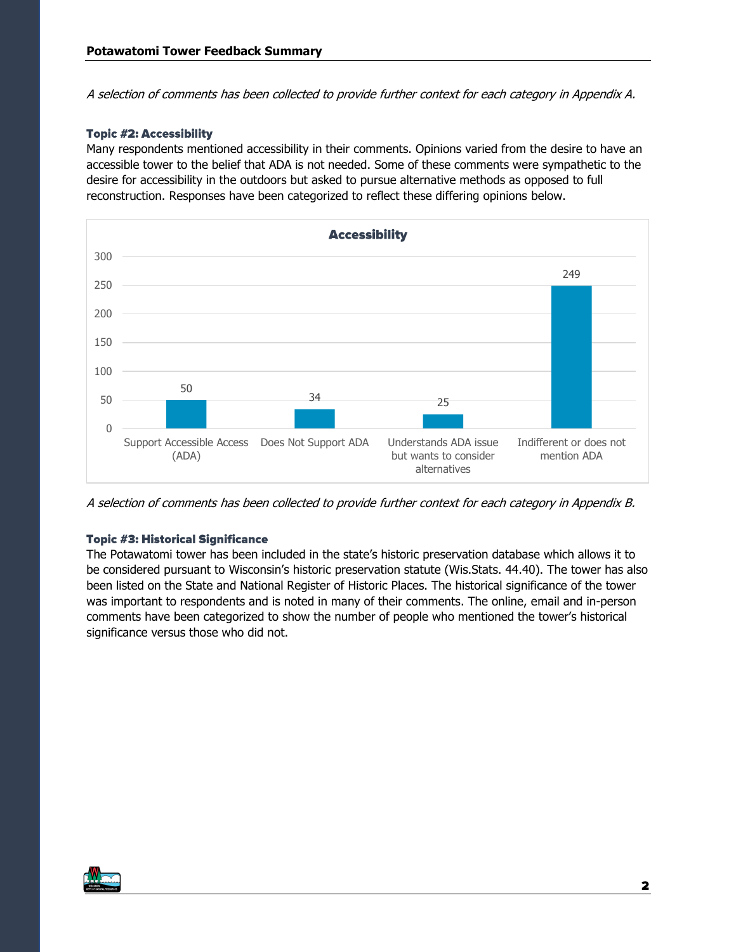A selection of comments has been collected to provide further context for each category in Appendix A.

# **Topic #2: Accessibility**

Many respondents mentioned accessibility in their comments. Opinions varied from the desire to have an accessible tower to the belief that ADA is not needed. Some of these comments were sympathetic to the desire for accessibility in the outdoors but asked to pursue alternative methods as opposed to full reconstruction. Responses have been categorized to reflect these differing opinions below.



A selection of comments has been collected to provide further context for each category in Appendix B.

# **Topic #3: Historical Significance**

The Potawatomi tower has been included in the state's historic preservation database which allows it to be considered pursuant to Wisconsin's historic preservation statute (Wis.Stats. 44.40). The tower has also been listed on the State and National Register of Historic Places. The historical significance of the tower was important to respondents and is noted in many of their comments. The online, email and in-person comments have been categorized to show the number of people who mentioned the tower's historical significance versus those who did not.

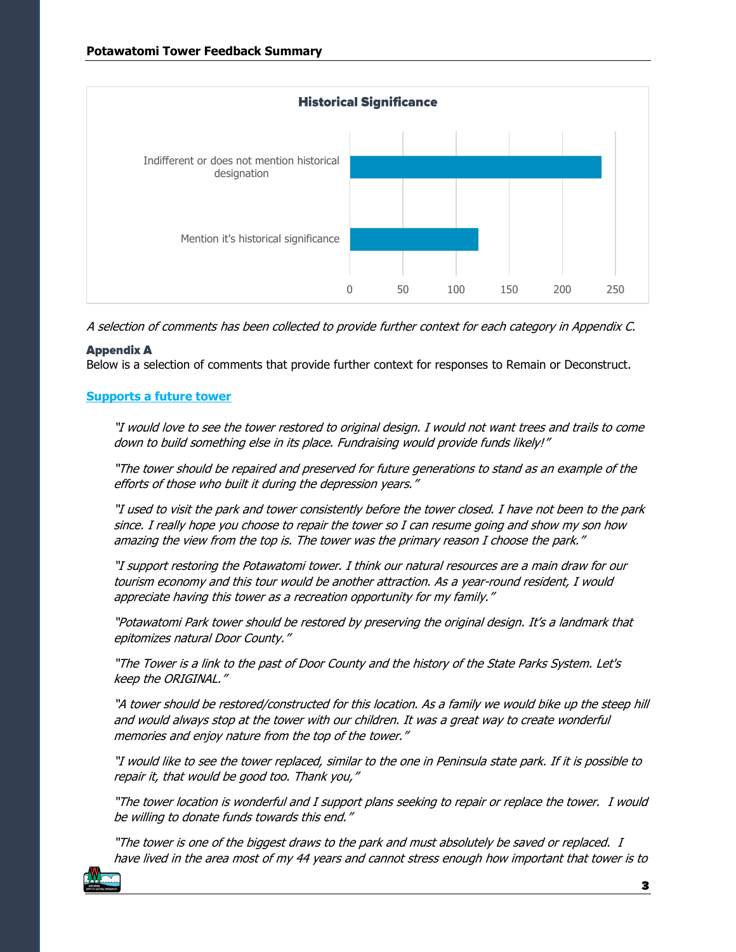

A selection of comments has been collected to provide further context for each category in Appendix C.

# **Appendix A**

Below is a selection of comments that provide further context for responses to Remain or Deconstruct.

# **Supports a future tower**

"I would love to see the tower restored to original design. I would not want trees and trails to come down to build something else in its place. Fundraising would provide funds likely!"

"The tower should be repaired and preserved for future generations to stand as an example of the efforts of those who built it during the depression years."

"I used to visit the park and tower consistently before the tower closed. I have not been to the park since. I really hope you choose to repair the tower so I can resume going and show my son how amazing the view from the top is. The tower was the primary reason I choose the park."

"I support restoring the Potawatomi tower. I think our natural resources are a main draw for our tourism economy and this tour would be another attraction. As a year-round resident, I would appreciate having this tower as a recreation opportunity for my family."

"Potawatomi Park tower should be restored by preserving the original design. It's a landmark that epitomizes natural Door County."

"The Tower is a link to the past of Door County and the history of the State Parks System. Let's keep the ORIGINAL."

"A tower should be restored/constructed for this location. As a family we would bike up the steep hill and would always stop at the tower with our children. It was a great way to create wonderful memories and enjoy nature from the top of the tower."

"I would like to see the tower replaced, similar to the one in Peninsula state park. If it is possible to repair it, that would be good too. Thank you,"

"The tower location is wonderful and I support plans seeking to repair or replace the tower. I would be willing to donate funds towards this end."

"The tower is one of the biggest draws to the park and must absolutely be saved or replaced. I have lived in the area most of my 44 years and cannot stress enough how important that tower is to

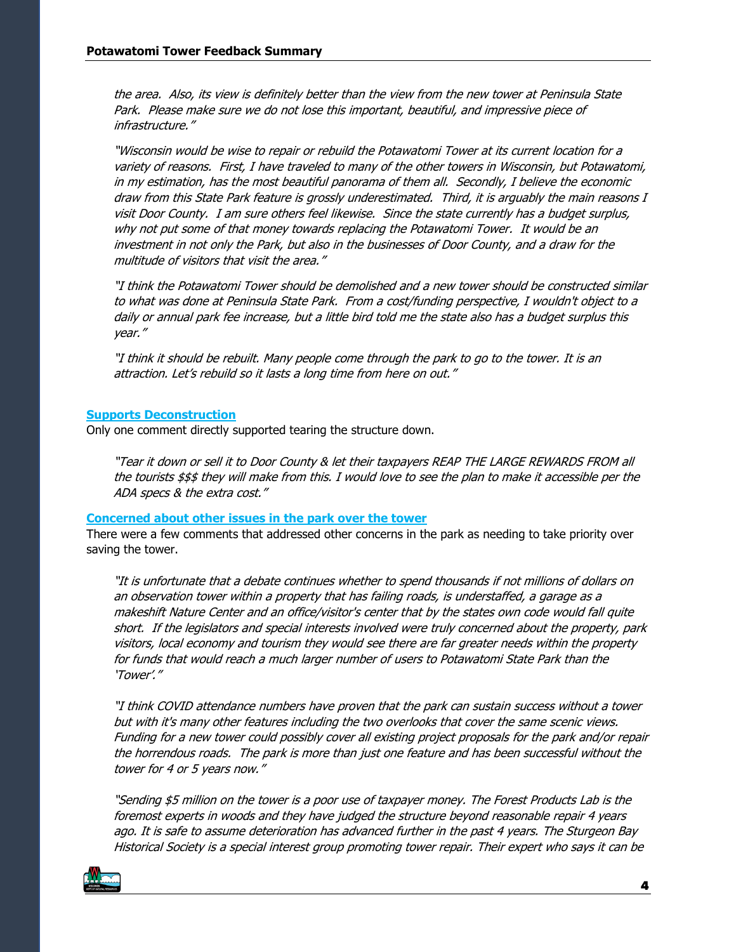the area. Also, its view is definitely better than the view from the new tower at Peninsula State Park. Please make sure we do not lose this important, beautiful, and impressive piece of infrastructure."

"Wisconsin would be wise to repair or rebuild the Potawatomi Tower at its current location for a variety of reasons. First, I have traveled to many of the other towers in Wisconsin, but Potawatomi, in my estimation, has the most beautiful panorama of them all. Secondly, I believe the economic draw from this State Park feature is grossly underestimated. Third, it is arguably the main reasons I visit Door County. I am sure others feel likewise. Since the state currently has a budget surplus, why not put some of that money towards replacing the Potawatomi Tower. It would be an investment in not only the Park, but also in the businesses of Door County, and a draw for the multitude of visitors that visit the area."

"I think the Potawatomi Tower should be demolished and a new tower should be constructed similar to what was done at Peninsula State Park. From a cost/funding perspective, I wouldn't object to a daily or annual park fee increase, but a little bird told me the state also has a budget surplus this year."

"I think it should be rebuilt. Many people come through the park to go to the tower. It is an attraction. Let's rebuild so it lasts a long time from here on out."

## **Supports Deconstruction**

Only one comment directly supported tearing the structure down.

"Tear it down or sell it to Door County & let their taxpayers REAP THE LARGE REWARDS FROM all the tourists \$\$\$ they will make from this. I would love to see the plan to make it accessible per the ADA specs & the extra cost."

### **Concerned about other issues in the park over the tower**

There were a few comments that addressed other concerns in the park as needing to take priority over saving the tower.

"It is unfortunate that a debate continues whether to spend thousands if not millions of dollars on an observation tower within a property that has failing roads, is understaffed, a garage as a makeshift Nature Center and an office/visitor's center that by the states own code would fall quite short. If the legislators and special interests involved were truly concerned about the property, park visitors, local economy and tourism they would see there are far greater needs within the property for funds that would reach a much larger number of users to Potawatomi State Park than the 'Tower'."

"I think COVID attendance numbers have proven that the park can sustain success without a tower but with it's many other features including the two overlooks that cover the same scenic views. Funding for a new tower could possibly cover all existing project proposals for the park and/or repair the horrendous roads. The park is more than just one feature and has been successful without the tower for 4 or 5 years now."

"Sending \$5 million on the tower is a poor use of taxpayer money. The Forest Products Lab is the foremost experts in woods and they have judged the structure beyond reasonable repair 4 years ago. It is safe to assume deterioration has advanced further in the past 4 years. The Sturgeon Bay Historical Society is a special interest group promoting tower repair. Their expert who says it can be

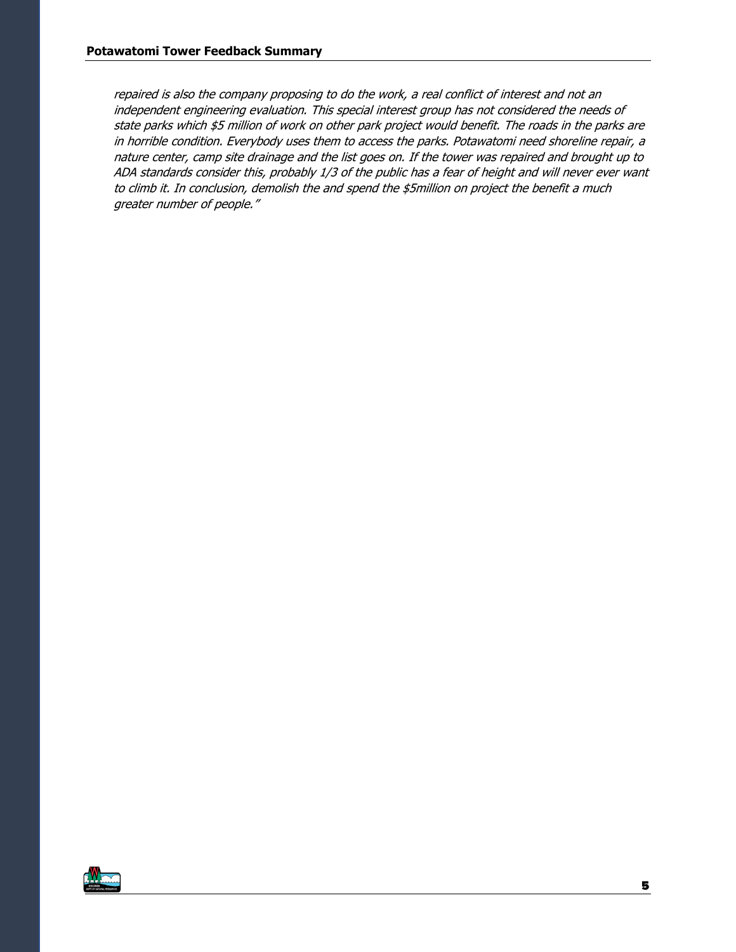repaired is also the company proposing to do the work, a real conflict of interest and not an independent engineering evaluation. This special interest group has not considered the needs of state parks which \$5 million of work on other park project would benefit. The roads in the parks are in horrible condition. Everybody uses them to access the parks. Potawatomi need shoreline repair, a nature center, camp site drainage and the list goes on. If the tower was repaired and brought up to ADA standards consider this, probably 1/3 of the public has a fear of height and will never ever want to climb it. In conclusion, demolish the and spend the \$5million on project the benefit a much greater number of people."

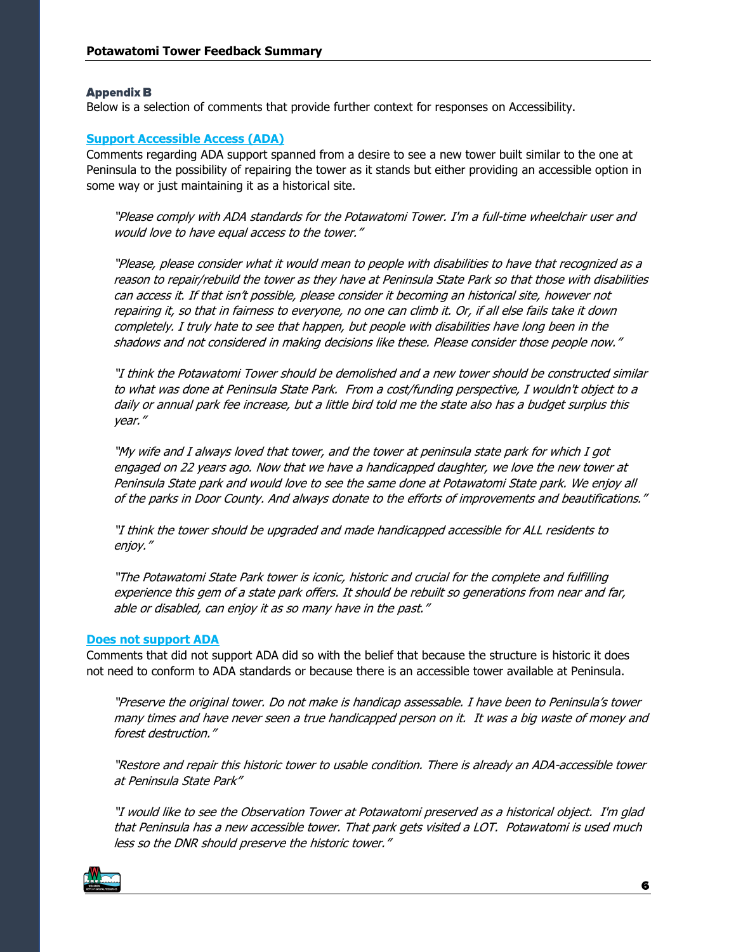### **Appendix B**

Below is a selection of comments that provide further context for responses on Accessibility.

## **Support Accessible Access (ADA)**

Comments regarding ADA support spanned from a desire to see a new tower built similar to the one at Peninsula to the possibility of repairing the tower as it stands but either providing an accessible option in some way or just maintaining it as a historical site.

"Please comply with ADA standards for the Potawatomi Tower. I'm a full-time wheelchair user and would love to have equal access to the tower."

"Please, please consider what it would mean to people with disabilities to have that recognized as a reason to repair/rebuild the tower as they have at Peninsula State Park so that those with disabilities can access it. If that isn't possible, please consider it becoming an historical site, however not repairing it, so that in fairness to everyone, no one can climb it. Or, if all else fails take it down completely. I truly hate to see that happen, but people with disabilities have long been in the shadows and not considered in making decisions like these. Please consider those people now."

"I think the Potawatomi Tower should be demolished and a new tower should be constructed similar to what was done at Peninsula State Park. From a cost/funding perspective, I wouldn't object to a daily or annual park fee increase, but a little bird told me the state also has a budget surplus this year."

"My wife and I always loved that tower, and the tower at peninsula state park for which I got engaged on 22 years ago. Now that we have a handicapped daughter, we love the new tower at Peninsula State park and would love to see the same done at Potawatomi State park. We enjoy all of the parks in Door County. And always donate to the efforts of improvements and beautifications."

"I think the tower should be upgraded and made handicapped accessible for ALL residents to enjoy."

"The Potawatomi State Park tower is iconic, historic and crucial for the complete and fulfilling experience this gem of a state park offers. It should be rebuilt so generations from near and far, able or disabled, can enjoy it as so many have in the past."

#### **Does not support ADA**

Comments that did not support ADA did so with the belief that because the structure is historic it does not need to conform to ADA standards or because there is an accessible tower available at Peninsula.

"Preserve the original tower. Do not make is handicap assessable. I have been to Peninsula's tower many times and have never seen a true handicapped person on it. It was a big waste of money and forest destruction."

"Restore and repair this historic tower to usable condition. There is already an ADA-accessible tower at Peninsula State Park"

"I would like to see the Observation Tower at Potawatomi preserved as a historical object. I'm glad that Peninsula has a new accessible tower. That park gets visited a LOT. Potawatomi is used much less so the DNR should preserve the historic tower."

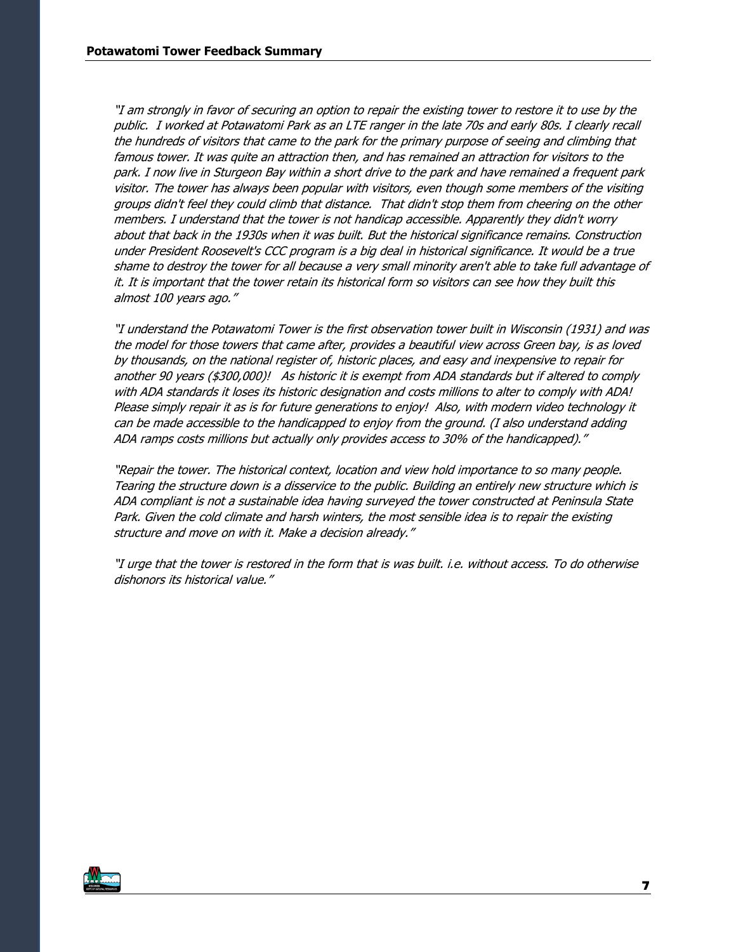"I am strongly in favor of securing an option to repair the existing tower to restore it to use by the public. I worked at Potawatomi Park as an LTE ranger in the late 70s and early 80s. I clearly recall the hundreds of visitors that came to the park for the primary purpose of seeing and climbing that famous tower. It was quite an attraction then, and has remained an attraction for visitors to the park. I now live in Sturgeon Bay within a short drive to the park and have remained a frequent park visitor. The tower has always been popular with visitors, even though some members of the visiting groups didn't feel they could climb that distance. That didn't stop them from cheering on the other members. I understand that the tower is not handicap accessible. Apparently they didn't worry about that back in the 1930s when it was built. But the historical significance remains. Construction under President Roosevelt's CCC program is a big deal in historical significance. It would be a true shame to destroy the tower for all because a very small minority aren't able to take full advantage of it. It is important that the tower retain its historical form so visitors can see how they built this almost 100 years ago."

"I understand the Potawatomi Tower is the first observation tower built in Wisconsin (1931) and was the model for those towers that came after, provides a beautiful view across Green bay, is as loved by thousands, on the national register of, historic places, and easy and inexpensive to repair for another 90 years (\$300,000)! As historic it is exempt from ADA standards but if altered to comply with ADA standards it loses its historic designation and costs millions to alter to comply with ADA! Please simply repair it as is for future generations to enjoy! Also, with modern video technology it can be made accessible to the handicapped to enjoy from the ground. (I also understand adding ADA ramps costs millions but actually only provides access to 30% of the handicapped)."

"Repair the tower. The historical context, location and view hold importance to so many people. Tearing the structure down is a disservice to the public. Building an entirely new structure which is ADA compliant is not a sustainable idea having surveyed the tower constructed at Peninsula State Park. Given the cold climate and harsh winters, the most sensible idea is to repair the existing structure and move on with it. Make a decision already."

"I urge that the tower is restored in the form that is was built. i.e. without access. To do otherwise dishonors its historical value."